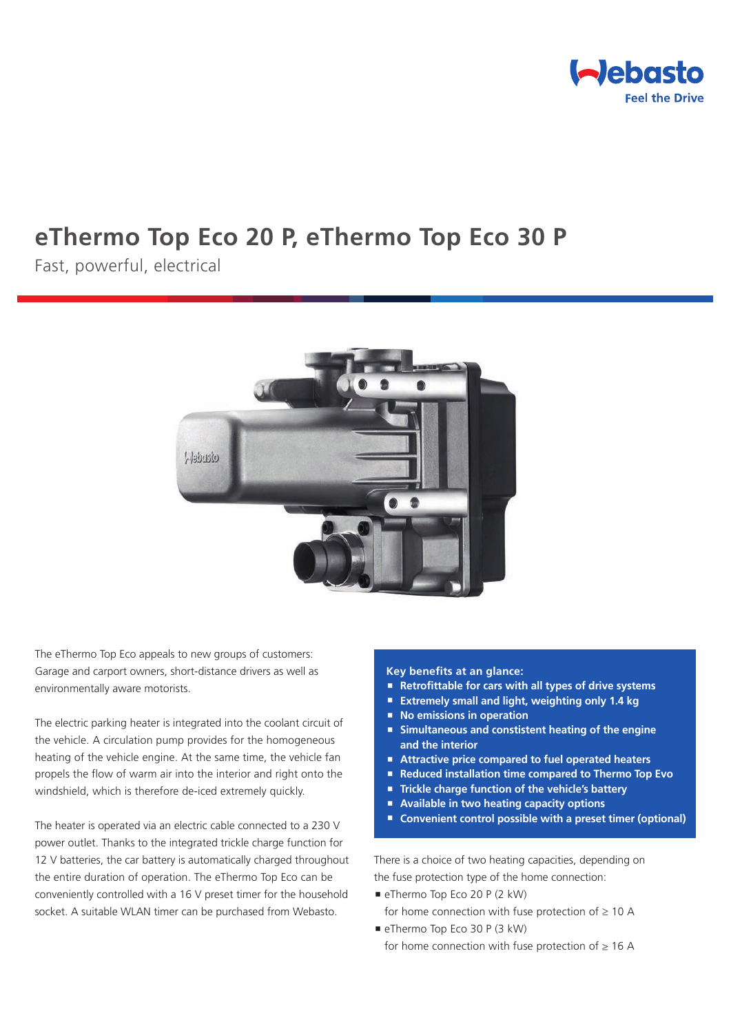

# **eThermo Top Eco 20 P, eThermo Top Eco 30 P**

Fast, powerful, electrical



The eThermo Top Eco appeals to new groups of customers: Garage and carport owners, short-distance drivers as well as environmentally aware motorists.

The electric parking heater is integrated into the coolant circuit of the vehicle. A circulation pump provides for the homogeneous heating of the vehicle engine. At the same time, the vehicle fan propels the flow of warm air into the interior and right onto the windshield, which is therefore de-iced extremely quickly.

The heater is operated via an electric cable connected to a 230 V power outlet. Thanks to the integrated trickle charge function for 12 V batteries, the car battery is automatically charged throughout the entire duration of operation. The eThermo Top Eco can be conveniently controlled with a 16 V preset timer for the household socket. A suitable WLAN timer can be purchased from Webasto.

#### **Key benefits at an glance:**

- **Retrofittable for cars with all types of drive systems**
- **Extremely small and light, weighting only 1.4 kg**
- **No emissions in operation**
- **Simultaneous and constistent heating of the engine and the interior**
- **Attractive price compared to fuel operated heaters**
- Reduced installation time compared to Thermo Top Evo
- **Trickle charge function of the vehicle's battery**
- **Available in two heating capacity options**
- Convenient control possible with a preset timer (optional)

There is a choice of two heating capacities, depending on the fuse protection type of the home connection:

- eThermo Top Eco 20 P (2 kW)
- for home connection with fuse protection of  $\geq 10$  A
- eThermo Top Eco 30 P (3 kW) for home connection with fuse protection of  $\geq 16$  A